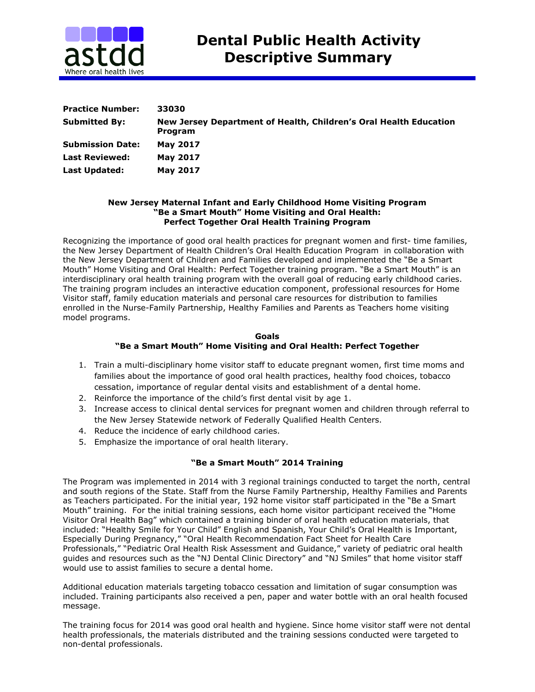

| <b>Practice Number:</b> | 33030                                                                        |
|-------------------------|------------------------------------------------------------------------------|
| <b>Submitted By:</b>    | New Jersey Department of Health, Children's Oral Health Education<br>Program |
| <b>Submission Date:</b> | <b>May 2017</b>                                                              |
| <b>Last Reviewed:</b>   | <b>May 2017</b>                                                              |
| Last Updated:           | <b>May 2017</b>                                                              |

## **New Jersey Maternal Infant and Early Childhood Home Visiting Program "Be a Smart Mouth" Home Visiting and Oral Health: Perfect Together Oral Health Training Program**

Recognizing the importance of good oral health practices for pregnant women and first- time families, the New Jersey Department of Health Children's Oral Health Education Program in collaboration with the New Jersey Department of Children and Families developed and implemented the "Be a Smart Mouth" Home Visiting and Oral Health: Perfect Together training program. "Be a Smart Mouth" is an interdisciplinary oral health training program with the overall goal of reducing early childhood caries. The training program includes an interactive education component, professional resources for Home Visitor staff, family education materials and personal care resources for distribution to families enrolled in the Nurse-Family Partnership, Healthy Families and Parents as Teachers home visiting model programs.

### **Goals "Be a Smart Mouth" Home Visiting and Oral Health: Perfect Together**

- 1. Train a multi-disciplinary home visitor staff to educate pregnant women, first time moms and families about the importance of good oral health practices, healthy food choices, tobacco cessation, importance of regular dental visits and establishment of a dental home.
- 2. Reinforce the importance of the child's first dental visit by age 1.
- 3. Increase access to clinical dental services for pregnant women and children through referral to the New Jersey Statewide network of Federally Qualified Health Centers.
- 4. Reduce the incidence of early childhood caries.
- 5. Emphasize the importance of oral health literary.

# **"Be a Smart Mouth" 2014 Training**

The Program was implemented in 2014 with 3 regional trainings conducted to target the north, central and south regions of the State. Staff from the Nurse Family Partnership, Healthy Families and Parents as Teachers participated. For the initial year, 192 home visitor staff participated in the "Be a Smart Mouth" training. For the initial training sessions, each home visitor participant received the "Home Visitor Oral Health Bag" which contained a training binder of oral health education materials, that included: "Healthy Smile for Your Child" English and Spanish, Your Child's Oral Health is Important, Especially During Pregnancy," "Oral Health Recommendation Fact Sheet for Health Care Professionals," "Pediatric Oral Health Risk Assessment and Guidance," variety of pediatric oral health guides and resources such as the "NJ Dental Clinic Directory" and "NJ Smiles" that home visitor staff would use to assist families to secure a dental home.

Additional education materials targeting tobacco cessation and limitation of sugar consumption was included. Training participants also received a pen, paper and water bottle with an oral health focused message.

The training focus for 2014 was good oral health and hygiene. Since home visitor staff were not dental health professionals, the materials distributed and the training sessions conducted were targeted to non-dental professionals.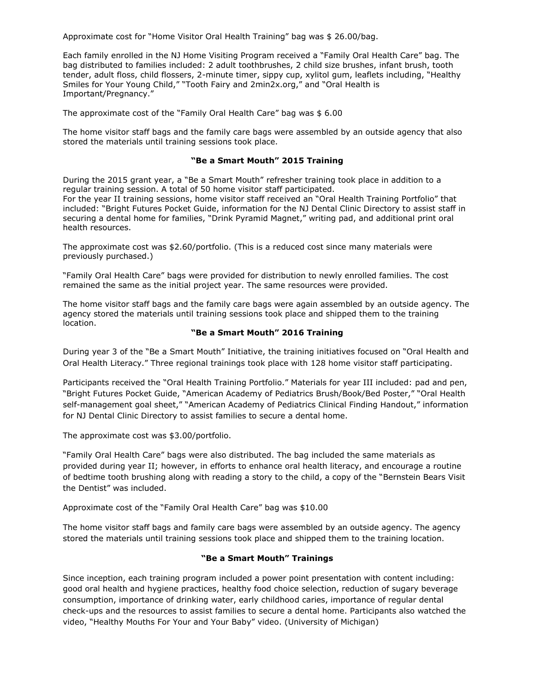Approximate cost for "Home Visitor Oral Health Training" bag was \$ 26.00/bag.

Each family enrolled in the NJ Home Visiting Program received a "Family Oral Health Care" bag. The bag distributed to families included: 2 adult toothbrushes, 2 child size brushes, infant brush, tooth tender, adult floss, child flossers, 2-minute timer, sippy cup, xylitol gum, leaflets including, "Healthy Smiles for Your Young Child," "Tooth Fairy and 2min2x.org," and "Oral Health is Important/Pregnancy."

The approximate cost of the "Family Oral Health Care" bag was \$ 6.00

The home visitor staff bags and the family care bags were assembled by an outside agency that also stored the materials until training sessions took place.

### **"Be a Smart Mouth" 2015 Training**

During the 2015 grant year, a "Be a Smart Mouth" refresher training took place in addition to a regular training session. A total of 50 home visitor staff participated.

For the year II training sessions, home visitor staff received an "Oral Health Training Portfolio" that included: "Bright Futures Pocket Guide, information for the NJ Dental Clinic Directory to assist staff in securing a dental home for families, "Drink Pyramid Magnet," writing pad, and additional print oral health resources.

The approximate cost was \$2.60/portfolio. (This is a reduced cost since many materials were previously purchased.)

"Family Oral Health Care" bags were provided for distribution to newly enrolled families. The cost remained the same as the initial project year. The same resources were provided.

The home visitor staff bags and the family care bags were again assembled by an outside agency. The agency stored the materials until training sessions took place and shipped them to the training location.

### **"Be a Smart Mouth" 2016 Training**

During year 3 of the "Be a Smart Mouth" Initiative, the training initiatives focused on "Oral Health and Oral Health Literacy." Three regional trainings took place with 128 home visitor staff participating.

Participants received the "Oral Health Training Portfolio." Materials for year III included: pad and pen, "Bright Futures Pocket Guide, "American Academy of Pediatrics Brush/Book/Bed Poster," "Oral Health self-management goal sheet," "American Academy of Pediatrics Clinical Finding Handout," information for NJ Dental Clinic Directory to assist families to secure a dental home.

The approximate cost was \$3.00/portfolio.

"Family Oral Health Care" bags were also distributed. The bag included the same materials as provided during year II; however, in efforts to enhance oral health literacy, and encourage a routine of bedtime tooth brushing along with reading a story to the child, a copy of the "Bernstein Bears Visit the Dentist" was included.

Approximate cost of the "Family Oral Health Care" bag was \$10.00

The home visitor staff bags and family care bags were assembled by an outside agency. The agency stored the materials until training sessions took place and shipped them to the training location.

### **"Be a Smart Mouth" Trainings**

Since inception, each training program included a power point presentation with content including: good oral health and hygiene practices, healthy food choice selection, reduction of sugary beverage consumption, importance of drinking water, early childhood caries, importance of regular dental check-ups and the resources to assist families to secure a dental home. Participants also watched the video, "Healthy Mouths For Your and Your Baby" video. (University of Michigan)